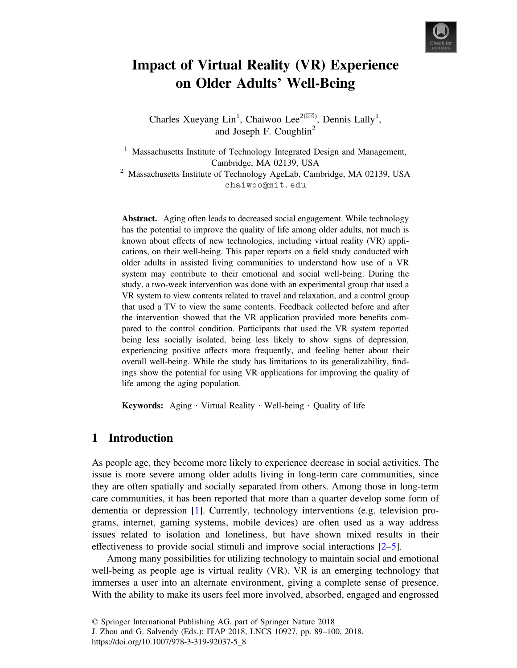

# Impact of Virtual Reality (VR) Experience on Older Adults' Well-Being

Charles Xueyang Lin<sup>1</sup>, Chaiwoo Lee<sup>2( $\boxtimes$ )</sup>, Dennis Lally<sup>1</sup>, and Joseph F. Coughlin<sup>2</sup>

<sup>1</sup> Massachusetts Institute of Technology Integrated Design and Management, Cambridge, MA 02139, USA <sup>2</sup> Massachusetts Institute of Technology AgeLab, Cambridge, MA 02139, USA chaiwoo@mit.edu

Abstract. Aging often leads to decreased social engagement. While technology has the potential to improve the quality of life among older adults, not much is known about effects of new technologies, including virtual reality (VR) applications, on their well-being. This paper reports on a field study conducted with older adults in assisted living communities to understand how use of a VR system may contribute to their emotional and social well-being. During the study, a two-week intervention was done with an experimental group that used a VR system to view contents related to travel and relaxation, and a control group that used a TV to view the same contents. Feedback collected before and after the intervention showed that the VR application provided more benefits compared to the control condition. Participants that used the VR system reported being less socially isolated, being less likely to show signs of depression, experiencing positive affects more frequently, and feeling better about their overall well-being. While the study has limitations to its generalizability, findings show the potential for using VR applications for improving the quality of life among the aging population.

Keywords: Aging  $\cdot$  Virtual Reality  $\cdot$  Well-being  $\cdot$  Quality of life

## 1 Introduction

As people age, they become more likely to experience decrease in social activities. The issue is more severe among older adults living in long-term care communities, since they are often spatially and socially separated from others. Among those in long-term care communities, it has been reported that more than a quarter develop some form of dementia or depression [1]. Currently, technology interventions (e.g. television programs, internet, gaming systems, mobile devices) are often used as a way address issues related to isolation and loneliness, but have shown mixed results in their effectiveness to provide social stimuli and improve social interactions [2–5].

Among many possibilities for utilizing technology to maintain social and emotional well-being as people age is virtual reality (VR). VR is an emerging technology that immerses a user into an alternate environment, giving a complete sense of presence. With the ability to make its users feel more involved, absorbed, engaged and engrossed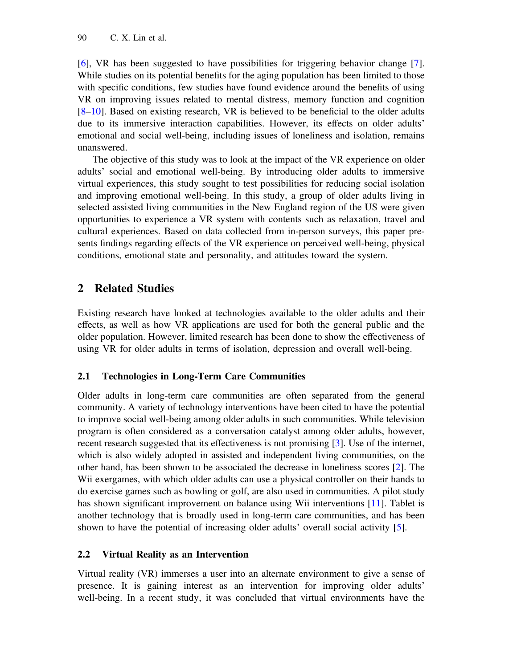[6], VR has been suggested to have possibilities for triggering behavior change [7]. While studies on its potential benefits for the aging population has been limited to those with specific conditions, few studies have found evidence around the benefits of using VR on improving issues related to mental distress, memory function and cognition [8–10]. Based on existing research, VR is believed to be beneficial to the older adults due to its immersive interaction capabilities. However, its effects on older adults' emotional and social well-being, including issues of loneliness and isolation, remains unanswered.

The objective of this study was to look at the impact of the VR experience on older adults' social and emotional well-being. By introducing older adults to immersive virtual experiences, this study sought to test possibilities for reducing social isolation and improving emotional well-being. In this study, a group of older adults living in selected assisted living communities in the New England region of the US were given opportunities to experience a VR system with contents such as relaxation, travel and cultural experiences. Based on data collected from in-person surveys, this paper presents findings regarding effects of the VR experience on perceived well-being, physical conditions, emotional state and personality, and attitudes toward the system.

## 2 Related Studies

Existing research have looked at technologies available to the older adults and their effects, as well as how VR applications are used for both the general public and the older population. However, limited research has been done to show the effectiveness of using VR for older adults in terms of isolation, depression and overall well-being.

## 2.1 Technologies in Long-Term Care Communities

Older adults in long-term care communities are often separated from the general community. A variety of technology interventions have been cited to have the potential to improve social well-being among older adults in such communities. While television program is often considered as a conversation catalyst among older adults, however, recent research suggested that its effectiveness is not promising [3]. Use of the internet, which is also widely adopted in assisted and independent living communities, on the other hand, has been shown to be associated the decrease in loneliness scores [2]. The Wii exergames, with which older adults can use a physical controller on their hands to do exercise games such as bowling or golf, are also used in communities. A pilot study has shown significant improvement on balance using Wii interventions [11]. Tablet is another technology that is broadly used in long-term care communities, and has been shown to have the potential of increasing older adults' overall social activity [5].

#### 2.2 Virtual Reality as an Intervention

Virtual reality (VR) immerses a user into an alternate environment to give a sense of presence. It is gaining interest as an intervention for improving older adults' well-being. In a recent study, it was concluded that virtual environments have the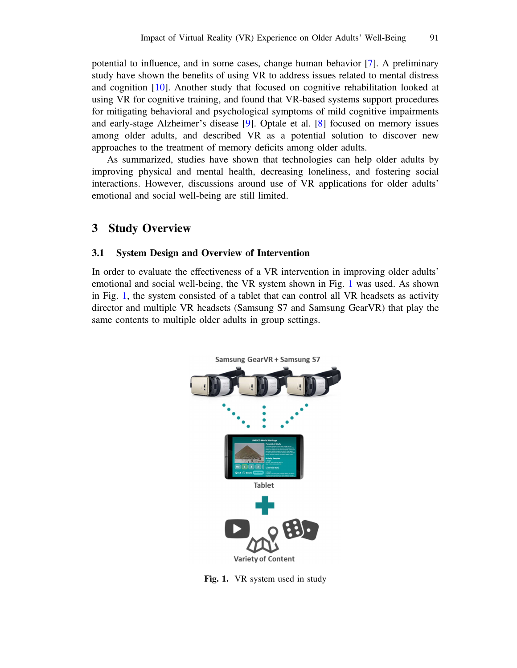potential to influence, and in some cases, change human behavior [7]. A preliminary study have shown the benefits of using VR to address issues related to mental distress and cognition [10]. Another study that focused on cognitive rehabilitation looked at using VR for cognitive training, and found that VR-based systems support procedures for mitigating behavioral and psychological symptoms of mild cognitive impairments and early-stage Alzheimer's disease [9]. Optale et al. [8] focused on memory issues among older adults, and described VR as a potential solution to discover new approaches to the treatment of memory deficits among older adults.

As summarized, studies have shown that technologies can help older adults by improving physical and mental health, decreasing loneliness, and fostering social interactions. However, discussions around use of VR applications for older adults' emotional and social well-being are still limited.

#### 3 Study Overview

#### 3.1 System Design and Overview of Intervention

In order to evaluate the effectiveness of a VR intervention in improving older adults' emotional and social well-being, the VR system shown in Fig. 1 was used. As shown in Fig. 1, the system consisted of a tablet that can control all VR headsets as activity director and multiple VR headsets (Samsung S7 and Samsung GearVR) that play the same contents to multiple older adults in group settings.



Fig. 1. VR system used in study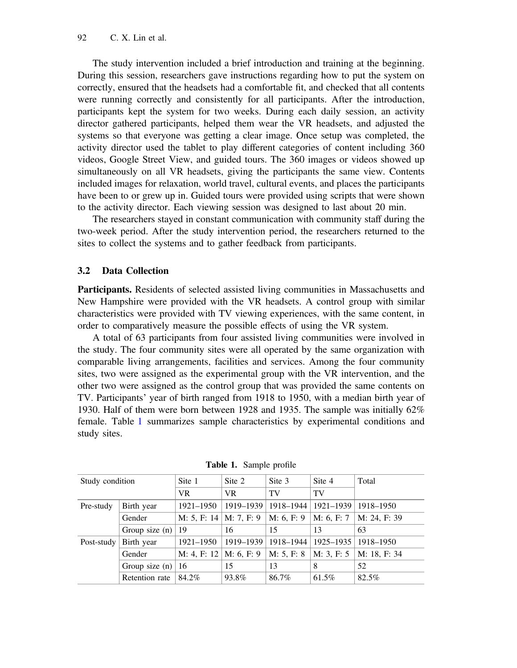The study intervention included a brief introduction and training at the beginning. During this session, researchers gave instructions regarding how to put the system on correctly, ensured that the headsets had a comfortable fit, and checked that all contents were running correctly and consistently for all participants. After the introduction, participants kept the system for two weeks. During each daily session, an activity director gathered participants, helped them wear the VR headsets, and adjusted the systems so that everyone was getting a clear image. Once setup was completed, the activity director used the tablet to play different categories of content including 360 videos, Google Street View, and guided tours. The 360 images or videos showed up simultaneously on all VR headsets, giving the participants the same view. Contents included images for relaxation, world travel, cultural events, and places the participants have been to or grew up in. Guided tours were provided using scripts that were shown to the activity director. Each viewing session was designed to last about 20 min.

The researchers stayed in constant communication with community staff during the two-week period. After the study intervention period, the researchers returned to the sites to collect the systems and to gather feedback from participants.

#### 3.2 Data Collection

Participants. Residents of selected assisted living communities in Massachusetts and New Hampshire were provided with the VR headsets. A control group with similar characteristics were provided with TV viewing experiences, with the same content, in order to comparatively measure the possible effects of using the VR system.

A total of 63 participants from four assisted living communities were involved in the study. The four community sites were all operated by the same organization with comparable living arrangements, facilities and services. Among the four community sites, two were assigned as the experimental group with the VR intervention, and the other two were assigned as the control group that was provided the same contents on TV. Participants' year of birth ranged from 1918 to 1950, with a median birth year of 1930. Half of them were born between 1928 and 1935. The sample was initially 62% female. Table 1 summarizes sample characteristics by experimental conditions and study sites.

| Study condition |                     | Site 1                         | Site 2    | Site 3          | Site 4        | Total        |
|-----------------|---------------------|--------------------------------|-----------|-----------------|---------------|--------------|
|                 |                     | <b>VR</b>                      | VR.       | TV.             | TV            |              |
| Pre-study       | Birth year          | 1921-1950                      | 1919–1939 | $ 1918 - 1944 $ | 1921–1939     | 1918-1950    |
|                 | Gender              | M: 5, F: $14 \mid M: 7$ , F: 9 |           | M: 6, F: 9      | M: 6, F: 7    | M: 24, F: 39 |
|                 | Group size (n)   19 |                                | 16        | 15              | 13            | 63           |
| Post-study      | Birth year          | 1921-1950                      | 1919–1939 | 1918–1944       | $1925 - 1935$ | 1918–1950    |
|                 | Gender              | M: 4, F: $12 \mid M: 6, F: 9$  |           | M: 5, F: 8      | M: 3, F: 5    | M: 18, F: 34 |
|                 | Group size $(n)$ 16 |                                | 15        | 13              | 8             | 52           |
|                 | Retention rate      | 84.2%                          | 93.8%     | 86.7%           | 61.5%         | 82.5%        |

Table 1. Sample profile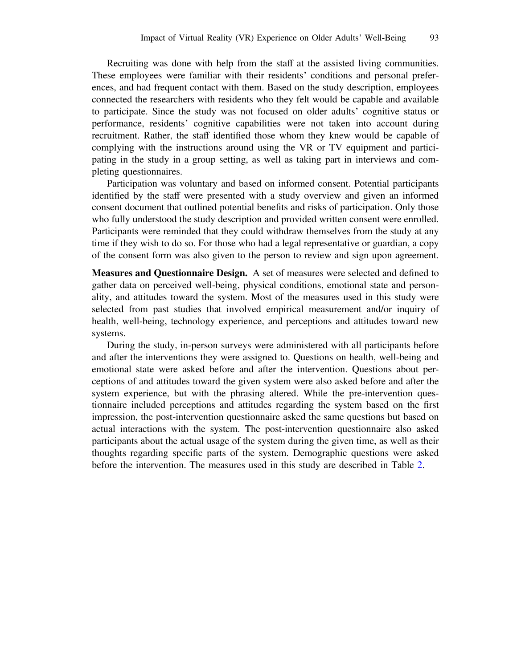Recruiting was done with help from the staff at the assisted living communities. These employees were familiar with their residents' conditions and personal preferences, and had frequent contact with them. Based on the study description, employees connected the researchers with residents who they felt would be capable and available to participate. Since the study was not focused on older adults' cognitive status or performance, residents' cognitive capabilities were not taken into account during recruitment. Rather, the staff identified those whom they knew would be capable of complying with the instructions around using the VR or TV equipment and participating in the study in a group setting, as well as taking part in interviews and completing questionnaires.

Participation was voluntary and based on informed consent. Potential participants identified by the staff were presented with a study overview and given an informed consent document that outlined potential benefits and risks of participation. Only those who fully understood the study description and provided written consent were enrolled. Participants were reminded that they could withdraw themselves from the study at any time if they wish to do so. For those who had a legal representative or guardian, a copy of the consent form was also given to the person to review and sign upon agreement.

Measures and Questionnaire Design. A set of measures were selected and defined to gather data on perceived well-being, physical conditions, emotional state and personality, and attitudes toward the system. Most of the measures used in this study were selected from past studies that involved empirical measurement and/or inquiry of health, well-being, technology experience, and perceptions and attitudes toward new systems.

During the study, in-person surveys were administered with all participants before and after the interventions they were assigned to. Questions on health, well-being and emotional state were asked before and after the intervention. Questions about perceptions of and attitudes toward the given system were also asked before and after the system experience, but with the phrasing altered. While the pre-intervention questionnaire included perceptions and attitudes regarding the system based on the first impression, the post-intervention questionnaire asked the same questions but based on actual interactions with the system. The post-intervention questionnaire also asked participants about the actual usage of the system during the given time, as well as their thoughts regarding specific parts of the system. Demographic questions were asked before the intervention. The measures used in this study are described in Table 2.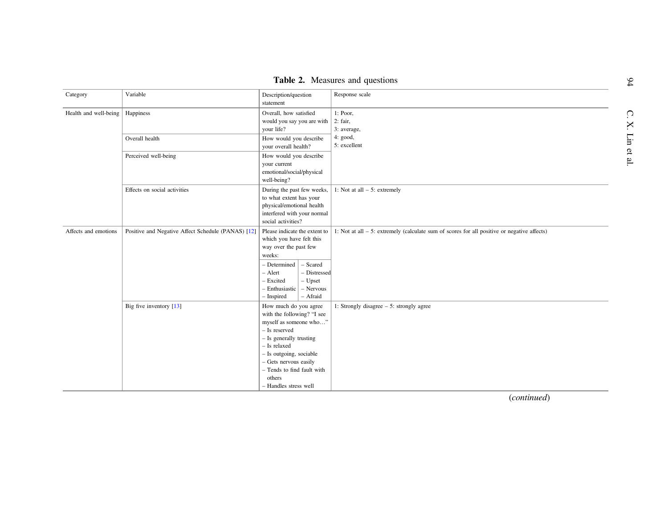| Category                                                                                                                                                                                                                                           | Variable                                            | Description/question<br>statement                                                                                                                                                                                                                              |                                                                                               | Response scale                             |  |  |  |
|----------------------------------------------------------------------------------------------------------------------------------------------------------------------------------------------------------------------------------------------------|-----------------------------------------------------|----------------------------------------------------------------------------------------------------------------------------------------------------------------------------------------------------------------------------------------------------------------|-----------------------------------------------------------------------------------------------|--------------------------------------------|--|--|--|
| Health and well-being                                                                                                                                                                                                                              | Happiness                                           | Overall, how satisfied<br>would you say you are with $\vert$ 2: fair,<br>your life?<br>How would you describe<br>your overall health?                                                                                                                          |                                                                                               | 1: Poor,<br>3: average,<br>4: good,        |  |  |  |
|                                                                                                                                                                                                                                                    | Overall health                                      |                                                                                                                                                                                                                                                                |                                                                                               | 5: excellent                               |  |  |  |
|                                                                                                                                                                                                                                                    | Perceived well-being<br>your current<br>well-being? |                                                                                                                                                                                                                                                                | How would you describe<br>emotional/social/physical                                           |                                            |  |  |  |
|                                                                                                                                                                                                                                                    | Effects on social activities                        | During the past few weeks,<br>to what extent has your<br>physical/emotional health<br>interfered with your normal<br>social activities?                                                                                                                        |                                                                                               | 1: Not at all $-5$ : extremely             |  |  |  |
| Please indicate the extent to<br>Affects and emotions<br>Positive and Negative Affect Schedule (PANAS) [12]<br>which you have felt this<br>way over the past few<br>weeks:<br>- Determined<br>- Alert<br>- Excited<br>- Enthusiastic<br>- Inspired |                                                     | - Scared<br>- Distressed<br>$-$ Upset<br>- Nervous<br>- Afraid                                                                                                                                                                                                 | 1: Not at all $-5$ : extremely (calculate sum of scores for all positive or negative affects) |                                            |  |  |  |
|                                                                                                                                                                                                                                                    | Big five inventory [13]                             | How much do you agree<br>with the following? "I see<br>myself as someone who"<br>- Is reserved<br>- Is generally trusting<br>- Is relaxed<br>- Is outgoing, sociable<br>- Gets nervous easily<br>- Tends to find fault with<br>others<br>- Handles stress well |                                                                                               | 1: Strongly disagree $-5$ : strongly agree |  |  |  |

(continued)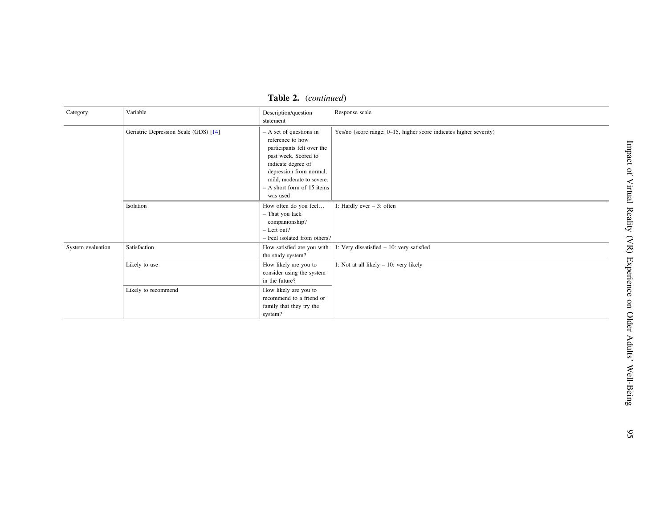| Category          | Variable                                                                                                                                                                                                                                                             | Description/question<br>statement                                                                           | Response scale                                                     |  |  |  |
|-------------------|----------------------------------------------------------------------------------------------------------------------------------------------------------------------------------------------------------------------------------------------------------------------|-------------------------------------------------------------------------------------------------------------|--------------------------------------------------------------------|--|--|--|
|                   | Geriatric Depression Scale (GDS) [14]<br>$-$ A set of questions in<br>reference to how<br>participants felt over the<br>past week. Scored to<br>indicate degree of<br>depression from normal,<br>mild, moderate to severe.<br>- A short form of 15 items<br>was used |                                                                                                             | Yes/no (score range: 0-15, higher score indicates higher severity) |  |  |  |
|                   | Isolation                                                                                                                                                                                                                                                            | How often do you feel<br>- That you lack<br>companionship?<br>$-$ Left out?<br>- Feel isolated from others? | 1: Hardly ever $-3$ : often                                        |  |  |  |
| System evaluation | Satisfaction                                                                                                                                                                                                                                                         | How satisfied are you with<br>the study system?                                                             | 1: Very dissatisfied $-10$ : very satisfied                        |  |  |  |
|                   | Likely to use                                                                                                                                                                                                                                                        | How likely are you to<br>consider using the system<br>in the future?                                        | 1: Not at all likely - 10: very likely                             |  |  |  |
|                   | Likely to recommend                                                                                                                                                                                                                                                  | How likely are you to<br>recommend to a friend or<br>family that they try the<br>system?                    |                                                                    |  |  |  |

**Table 2.** (continued)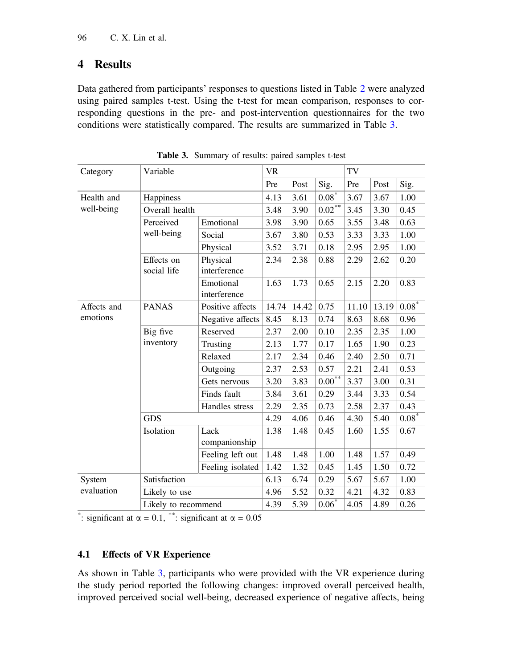# 4 Results

Data gathered from participants' responses to questions listed in Table 2 were analyzed using paired samples t-test. Using the t-test for mean comparison, responses to corresponding questions in the pre- and post-intervention questionnaires for the two conditions were statistically compared. The results are summarized in Table 3.

| Category    | Variable                |                  | <b>VR</b> |                   |                               | TV    |       |               |
|-------------|-------------------------|------------------|-----------|-------------------|-------------------------------|-------|-------|---------------|
|             |                         |                  | Pre       | Post              | Sig.                          | Pre   | Post  | Sig.          |
| Health and  | Happiness               | 4.13             | 3.61      | $0.08^{*}$        | 3.67                          | 3.67  | 1.00  |               |
| well-being  | Overall health          | 3.48             | 3.90      | $0.02^{\ast\ast}$ | 3.45                          | 3.30  | 0.45  |               |
|             | Perceived<br>well-being | Emotional        | 3.98      | 3.90              | 0.65                          | 3.55  | 3.48  | 0.63          |
|             |                         | Social           | 3.67      | 3.80              | 0.53                          | 3.33  | 3.33  | 1.00          |
|             |                         | Physical         | 3.52      | 3.71              | 0.18                          | 2.95  | 2.95  | 1.00          |
|             | Effects on              | Physical         | 2.34      | 2.38              | 0.88                          | 2.29  | 2.62  | 0.20          |
|             | social life             | interference     |           |                   |                               |       |       |               |
|             |                         | Emotional        | 1.63      | 1.73              | 0.65                          | 2.15  | 2.20  | 0.83          |
|             |                         | interference     |           |                   |                               |       |       |               |
| Affects and | <b>PANAS</b>            | Positive affects | 14.74     | 14.42             | 0.75                          | 11.10 | 13.19 | $0.08^*$      |
| emotions    |                         | Negative affects | 8.45      | 8.13              | 0.74                          | 8.63  | 8.68  | 0.96          |
|             | Big five<br>inventory   | Reserved         | 2.37      | 2.00              | 0.10                          | 2.35  | 2.35  | 1.00          |
|             |                         | Trusting         | 2.13      | 1.77              | 0.17                          | 1.65  | 1.90  | 0.23          |
|             |                         | Relaxed          | 2.17      | 2.34              | 0.46                          | 2.40  | 2.50  | 0.71          |
|             |                         | Outgoing         | 2.37      | 2.53              | 0.57                          | 2.21  | 2.41  | 0.53          |
|             |                         | Gets nervous     | 3.20      | 3.83              | $\frac{0.00^{**}}{0.00^{**}}$ | 3.37  | 3.00  | 0.31          |
|             |                         | Finds fault      | 3.84      | 3.61              | 0.29                          | 3.44  | 3.33  | 0.54          |
|             |                         | Handles stress   | 2.29      | 2.35              | 0.73                          | 2.58  | 2.37  | 0.43          |
|             | <b>GDS</b>              |                  | 4.29      | 4.06              | 0.46                          | 4.30  | 5.40  | $0.08^{\ast}$ |
|             | Isolation               | Lack             | 1.38      | 1.48              | 0.45                          | 1.60  | 1.55  | 0.67          |
|             |                         | companionship    |           |                   |                               |       |       |               |
|             |                         | Feeling left out | 1.48      | 1.48              | 1.00                          | 1.48  | 1.57  | 0.49          |
|             |                         | Feeling isolated | 1.42      | 1.32              | 0.45                          | 1.45  | 1.50  | 0.72          |
| System      | Satisfaction            | 6.13             | 6.74      | 0.29              | 5.67                          | 5.67  | 1.00  |               |
| evaluation  | Likely to use           | 4.96             | 5.52      | 0.32              | 4.21                          | 4.32  | 0.83  |               |
|             | Likely to recommend     |                  |           | 5.39              | $0.06^*$                      | 4.05  | 4.89  | 0.26          |

Table 3. Summary of results: paired samples t-test

\*: significant at  $\alpha = 0.1$ , \*\*: significant at  $\alpha = 0.05$ 

## 4.1 Effects of VR Experience

As shown in Table 3, participants who were provided with the VR experience during the study period reported the following changes: improved overall perceived health, improved perceived social well-being, decreased experience of negative affects, being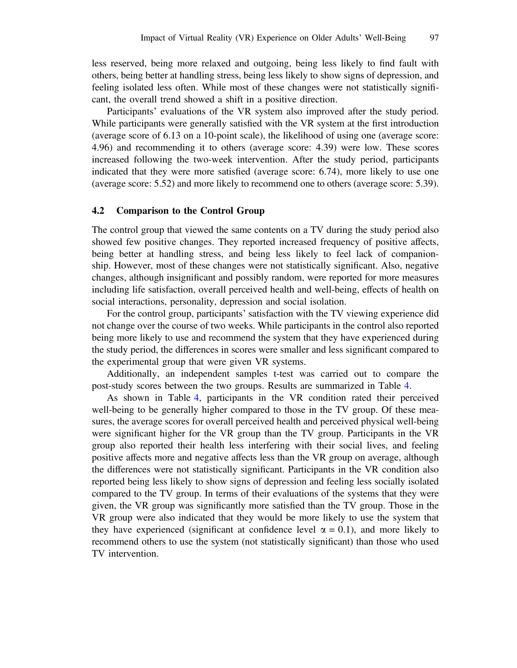less reserved, being more relaxed and outgoing, being less likely to find fault with others, being better at handling stress, being less likely to show signs of depression, and feeling isolated less often. While most of these changes were not statistically significant, the overall trend showed a shift in a positive direction.

Participants' evaluations of the VR system also improved after the study period. While participants were generally satisfied with the VR system at the first introduction (average score of 6.13 on a 10-point scale), the likelihood of using one (average score: 4.96) and recommending it to others (average score: 4.39) were low. These scores increased following the two-week intervention. After the study period, participants indicated that they were more satisfied (average score: 6.74), more likely to use one (average score: 5.52) and more likely to recommend one to others (average score: 5.39).

#### 4.2 Comparison to the Control Group

The control group that viewed the same contents on a TV during the study period also showed few positive changes. They reported increased frequency of positive affects, being better at handling stress, and being less likely to feel lack of companionship. However, most of these changes were not statistically significant. Also, negative changes, although insignificant and possibly random, were reported for more measures including life satisfaction, overall perceived health and well-being, effects of health on social interactions, personality, depression and social isolation.

For the control group, participants' satisfaction with the TV viewing experience did not change over the course of two weeks. While participants in the control also reported being more likely to use and recommend the system that they have experienced during the study period, the differences in scores were smaller and less significant compared to the experimental group that were given VR systems.

Additionally, an independent samples t-test was carried out to compare the post-study scores between the two groups. Results are summarized in Table 4.

As shown in Table 4, participants in the VR condition rated their perceived well-being to be generally higher compared to those in the TV group. Of these measures, the average scores for overall perceived health and perceived physical well-being were significant higher for the VR group than the TV group. Participants in the VR group also reported their health less interfering with their social lives, and feeling positive affects more and negative affects less than the VR group on average, although the differences were not statistically significant. Participants in the VR condition also reported being less likely to show signs of depression and feeling less socially isolated compared to the TV group. In terms of their evaluations of the systems that they were given, the VR group was significantly more satisfied than the TV group. Those in the VR group were also indicated that they would be more likely to use the system that they have experienced (significant at confidence level  $\alpha = 0.1$ ), and more likely to recommend others to use the system (not statistically significant) than those who used TV intervention.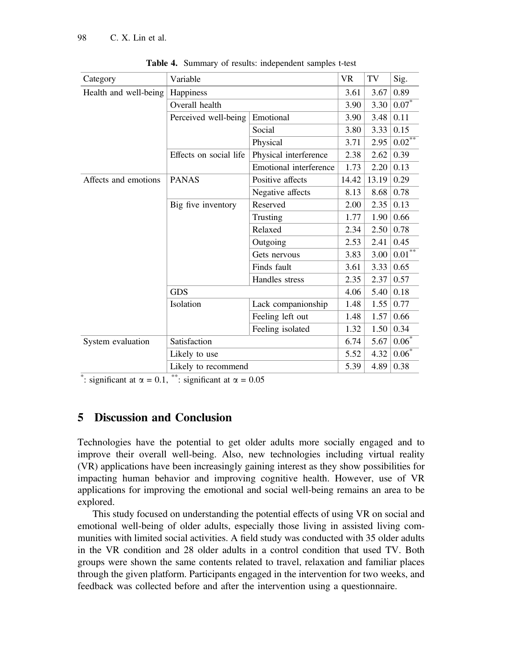| Category              | Variable               |                        |       | TV    | Sig.                   |
|-----------------------|------------------------|------------------------|-------|-------|------------------------|
| Health and well-being | Happiness              |                        |       | 3.67  | 0.89                   |
|                       | Overall health         |                        |       | 3.30  | $0.07*$                |
|                       | Perceived well-being   | Emotional              | 3.90  | 3.48  | 0.11                   |
|                       |                        | Social                 | 3.80  | 3.33  | 0.15                   |
|                       |                        | Physical               | 3.71  | 2.95  | $0.02^{\overline{**}}$ |
|                       | Effects on social life | Physical interference  | 2.38  | 2.62  | 0.39                   |
|                       |                        | Emotional interference | 1.73  | 2.20  | 0.13                   |
| Affects and emotions  | <b>PANAS</b>           | Positive affects       | 14.42 | 13.19 | 0.29                   |
|                       |                        | Negative affects       | 8.13  | 8.68  | 0.78                   |
|                       | Big five inventory     | Reserved               | 2.00  | 2.35  | 0.13                   |
|                       |                        | Trusting               | 1.77  | 1.90  | 0.66                   |
|                       |                        | Relaxed                | 2.34  | 2.50  | 0.78                   |
|                       |                        | Outgoing               | 2.53  | 2.41  | 0.45                   |
|                       |                        | Gets nervous           | 3.83  | 3.00  | $0.01^{\overline{**}}$ |
|                       |                        | Finds fault            | 3.61  | 3.33  | 0.65                   |
|                       |                        | Handles stress         | 2.35  | 2.37  | 0.57                   |
|                       | <b>GDS</b>             |                        |       | 5.40  | 0.18                   |
|                       | Isolation              | Lack companionship     | 1.48  | 1.55  | 0.77                   |
|                       |                        | Feeling left out       | 1.48  | 1.57  | 0.66                   |
|                       |                        | Feeling isolated       | 1.32  | 1.50  | 0.34                   |
| System evaluation     | Satisfaction           |                        |       | 5.67  | $0.06*$                |
|                       | Likely to use          |                        |       | 4.32  | $0.06*$                |
|                       | Likely to recommend    |                        |       | 4.89  | 0.38                   |

Table 4. Summary of results: independent samples t-test

\*: significant at  $\alpha = 0.1$ , \*\*: significant at  $\alpha = 0.05$ 

## 5 Discussion and Conclusion

Technologies have the potential to get older adults more socially engaged and to improve their overall well-being. Also, new technologies including virtual reality (VR) applications have been increasingly gaining interest as they show possibilities for impacting human behavior and improving cognitive health. However, use of VR applications for improving the emotional and social well-being remains an area to be explored.

This study focused on understanding the potential effects of using VR on social and emotional well-being of older adults, especially those living in assisted living communities with limited social activities. A field study was conducted with 35 older adults in the VR condition and 28 older adults in a control condition that used TV. Both groups were shown the same contents related to travel, relaxation and familiar places through the given platform. Participants engaged in the intervention for two weeks, and feedback was collected before and after the intervention using a questionnaire.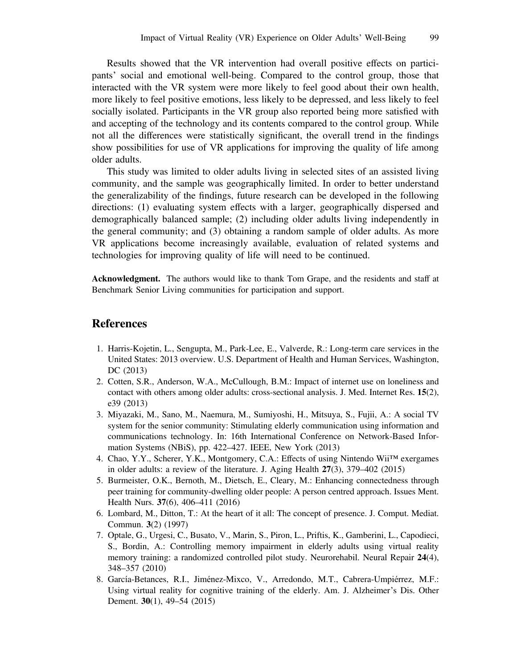Results showed that the VR intervention had overall positive effects on participants' social and emotional well-being. Compared to the control group, those that interacted with the VR system were more likely to feel good about their own health, more likely to feel positive emotions, less likely to be depressed, and less likely to feel socially isolated. Participants in the VR group also reported being more satisfied with and accepting of the technology and its contents compared to the control group. While not all the differences were statistically significant, the overall trend in the findings show possibilities for use of VR applications for improving the quality of life among older adults.

This study was limited to older adults living in selected sites of an assisted living community, and the sample was geographically limited. In order to better understand the generalizability of the findings, future research can be developed in the following directions: (1) evaluating system effects with a larger, geographically dispersed and demographically balanced sample; (2) including older adults living independently in the general community; and (3) obtaining a random sample of older adults. As more VR applications become increasingly available, evaluation of related systems and technologies for improving quality of life will need to be continued.

Acknowledgment. The authors would like to thank Tom Grape, and the residents and staff at Benchmark Senior Living communities for participation and support.

#### References

- 1. Harris-Kojetin, L., Sengupta, M., Park-Lee, E., Valverde, R.: Long-term care services in the United States: 2013 overview. U.S. Department of Health and Human Services, Washington, DC (2013)
- 2. Cotten, S.R., Anderson, W.A., McCullough, B.M.: Impact of internet use on loneliness and contact with others among older adults: cross-sectional analysis. J. Med. Internet Res. 15(2), e39 (2013)
- 3. Miyazaki, M., Sano, M., Naemura, M., Sumiyoshi, H., Mitsuya, S., Fujii, A.: A social TV system for the senior community: Stimulating elderly communication using information and communications technology. In: 16th International Conference on Network-Based Information Systems (NBiS), pp. 422–427. IEEE, New York (2013)
- 4. Chao, Y.Y., Scherer, Y.K., Montgomery, C.A.: Effects of using Nintendo Wii™ exergames in older adults: a review of the literature. J. Aging Health 27(3), 379–402 (2015)
- 5. Burmeister, O.K., Bernoth, M., Dietsch, E., Cleary, M.: Enhancing connectedness through peer training for community-dwelling older people: A person centred approach. Issues Ment. Health Nurs. 37(6), 406–411 (2016)
- 6. Lombard, M., Ditton, T.: At the heart of it all: The concept of presence. J. Comput. Mediat. Commun. 3(2) (1997)
- 7. Optale, G., Urgesi, C., Busato, V., Marin, S., Piron, L., Priftis, K., Gamberini, L., Capodieci, S., Bordin, A.: Controlling memory impairment in elderly adults using virtual reality memory training: a randomized controlled pilot study. Neurorehabil. Neural Repair 24(4), 348–357 (2010)
- 8. García-Betances, R.I., Jiménez-Mixco, V., Arredondo, M.T., Cabrera-Umpiérrez, M.F.: Using virtual reality for cognitive training of the elderly. Am. J. Alzheimer's Dis. Other Dement. 30(1), 49–54 (2015)